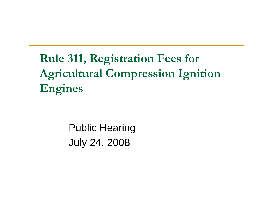## **Rule 311, Registration Fees for Agricultural Compression Ignition Engines**

Public Hearing July 24, 2008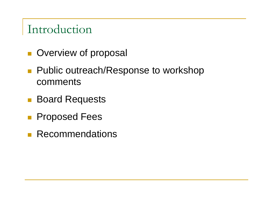### Introduction

- **Overview of proposal**
- Public outreach/Response to workshop comments
- Board Requests
- **Proposed Fees**
- **Recommendations**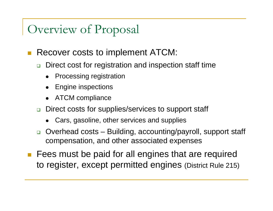## Overview of Proposal

#### Recover costs to implement ATCM:

- □ Direct cost for registration and inspection staff time
	- $\bullet$ Processing registration
	- $\bullet$ Engine inspections
	- $\bullet$ ATCM compliance
- $\Box$  Direct costs for supplies/services to support staff
	- $\bullet$ Cars, gasoline, other services and supplies
- $\Box$  Overhead costs – Building, accounting/payroll, support staff compensation, and other associated expenses
- **Figure 1** Fees must be paid for all engines that are required to register, except permitted engines (District Rule 215)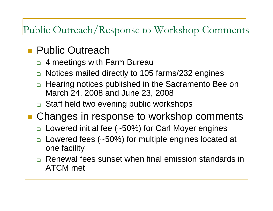#### Public Outreach/Response to Workshop Comments

#### **Public Outreach**

- 4 meetings with Farm Bureau
- □ Notices mailed directly to 105 farms/232 engines
- $\Box$  Hearing notices published in the Sacramento Bee on March 24, 2008 and June 23, 2008
- □ Staff held two evening public workshops
- Changes in response to workshop comments
	- □ Lowered initial fee (~50%) for Carl Moyer engines
	- $\Box$  Lowered fees (~50%) for multiple engines located at one facility
	- **□ Renewal fees sunset when final emission standards in** ATCM met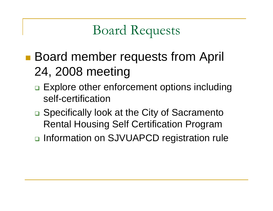# Board Requests

- **Board member requests from April** 24, 2008 meeting
	- □ Explore other enforcement options including self-certification
	- □ Specifically look at the City of Sacramento Rental Housing Self Certification Program
	- □ Information on SJVUAPCD registration rule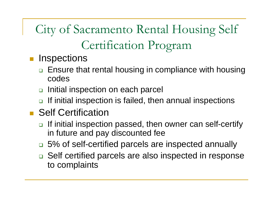City of Sacramento Rental Housing Self Certification Program

- $\mathcal{L}_{\mathcal{A}}$ **Inspections** 
	- $\Box$  Ensure that rental housing in compliance with housing codes
	- $\Box$ Initial inspection on each parcel
	- □ If initial inspection is failed, then annual inspections
- **Self Certification** 
	- □ If initial inspection passed, then owner can self-certify in future and pay discounted fee
	- □ 5% of self-certified parcels are inspected annually
	- □ Self certified parcels are also inspected in response to complaints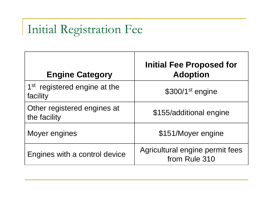# Initial Registration Fee

| <b>Engine Category</b>                               | <b>Initial Fee Proposed for</b><br><b>Adoption</b> |
|------------------------------------------------------|----------------------------------------------------|
| 1 <sup>st</sup> registered engine at the<br>facility | $$300/1st$ engine                                  |
| Other registered engines at<br>the facility          | \$155/additional engine                            |
| Moyer engines                                        | \$151/Moyer engine                                 |
| Engines with a control device                        | Agricultural engine permit fees<br>from Rule 310   |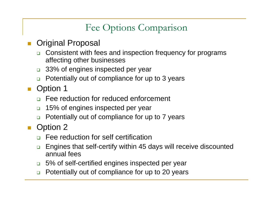#### Fee Options Comparison

- $\mathcal{L}_{\mathcal{A}}$  Original Proposal
	- $\Box$  Consistent with fees and inspection frequency for programs affecting other businesses
	- $\Box$ 33% of engines inspected per year
	- $\Box$ Potentially out of compliance for up to 3 years
- Option 1
	- $\Box$ Fee reduction for reduced enforcement
	- $\Box$ 15% of engines inspected per year
	- $\Box$ Potentially out of compliance for up to 7 years
- $\|\cdot\|$  Option 2
	- $\Box$ Fee reduction for self certification
	- $\Box$  Engines that self-certify within 45 days will receive discounted annual fees
	- $\Box$ 5% of self-certified engines inspected per year
	- $\Box$ Potentially out of compliance for up to 20 years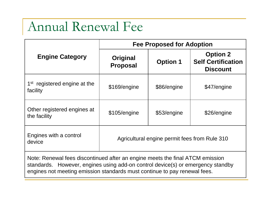## Annual Renewal Fee

|                                                                                                                                                                  | <b>Fee Proposed for Adoption</b>              |                 |                                                                 |  |  |  |  |
|------------------------------------------------------------------------------------------------------------------------------------------------------------------|-----------------------------------------------|-----------------|-----------------------------------------------------------------|--|--|--|--|
| <b>Engine Category</b>                                                                                                                                           | <b>Original</b><br><b>Proposal</b>            | <b>Option 1</b> | <b>Option 2</b><br><b>Self Certification</b><br><b>Discount</b> |  |  |  |  |
| 1 <sup>st</sup> registered engine at the<br>facility                                                                                                             | \$169/engine                                  | \$86/engine     | \$47/engine                                                     |  |  |  |  |
| Other registered engines at<br>the facility                                                                                                                      | \$105/engine                                  | \$53/engine     | \$26/engine                                                     |  |  |  |  |
| Engines with a control<br>device                                                                                                                                 | Agricultural engine permit fees from Rule 310 |                 |                                                                 |  |  |  |  |
| Note: Renewal fees discontinued after an engine meets the final ATCM emission<br>standards. However, engines using add-on control device(s) or emergency standby |                                               |                 |                                                                 |  |  |  |  |

engines not meeting emission standards must continue to pay renewal fees.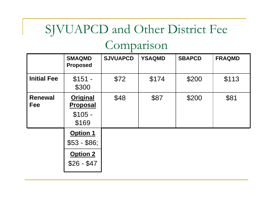## SJVUAPCD and Other District Fee

## Comparison

|                              | <b>SMAQMD</b><br><b>Proposed</b>                    | <b>SJVUAPCD</b> | <b>YSAQMD</b> | <b>SBAPCD</b> | <b>FRAQMD</b> |
|------------------------------|-----------------------------------------------------|-----------------|---------------|---------------|---------------|
| <b>Initial Fee</b>           | $$151 -$<br>\$300                                   | \$72            | \$174         | \$200         | \$113         |
| <b>Renewal</b><br><b>Fee</b> | <b>Original</b><br>Proposal<br>$$105 -$<br>\$169    | \$48            | \$87          | \$200         | \$81          |
|                              | Option 1<br>$$53 - $86;$<br>Option 2<br>$$26 - $47$ |                 |               |               |               |